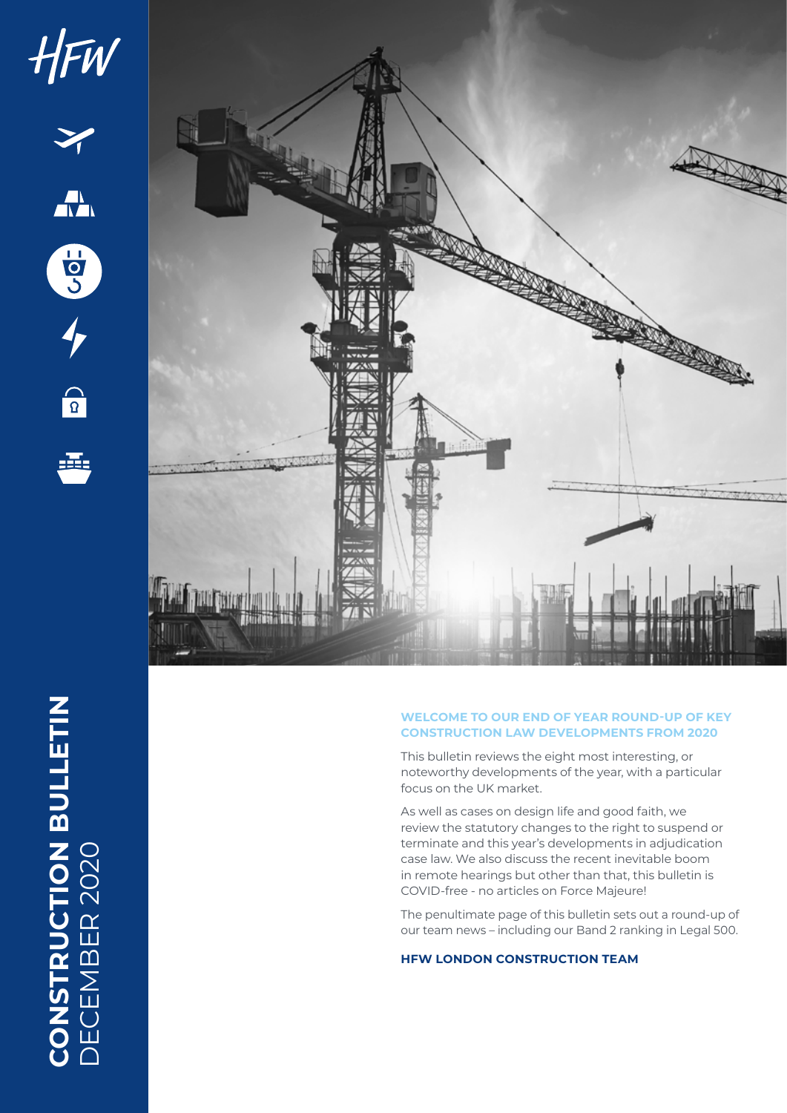

## **WELCOME TO OUR END OF YEAR ROUND-UP OF KEY CONSTRUCTION LAW DEVELOPMENTS FROM 2020**

This bulletin reviews the eight most interesting, or noteworthy developments of the year, with a particular focus on the UK market.

As well as cases on design life and good faith, we review the statutory changes to the right to suspend or terminate and this year's developments in adjudication case law. We also discuss the recent inevitable boom in remote hearings but other than that, this bulletin is COVID-free - no articles on Force Majeure!

The penultimate page of this bulletin sets out a round-up of our team news – including our Band 2 ranking in Legal 500.

## **HFW LONDON CONSTRUCTION TEAM**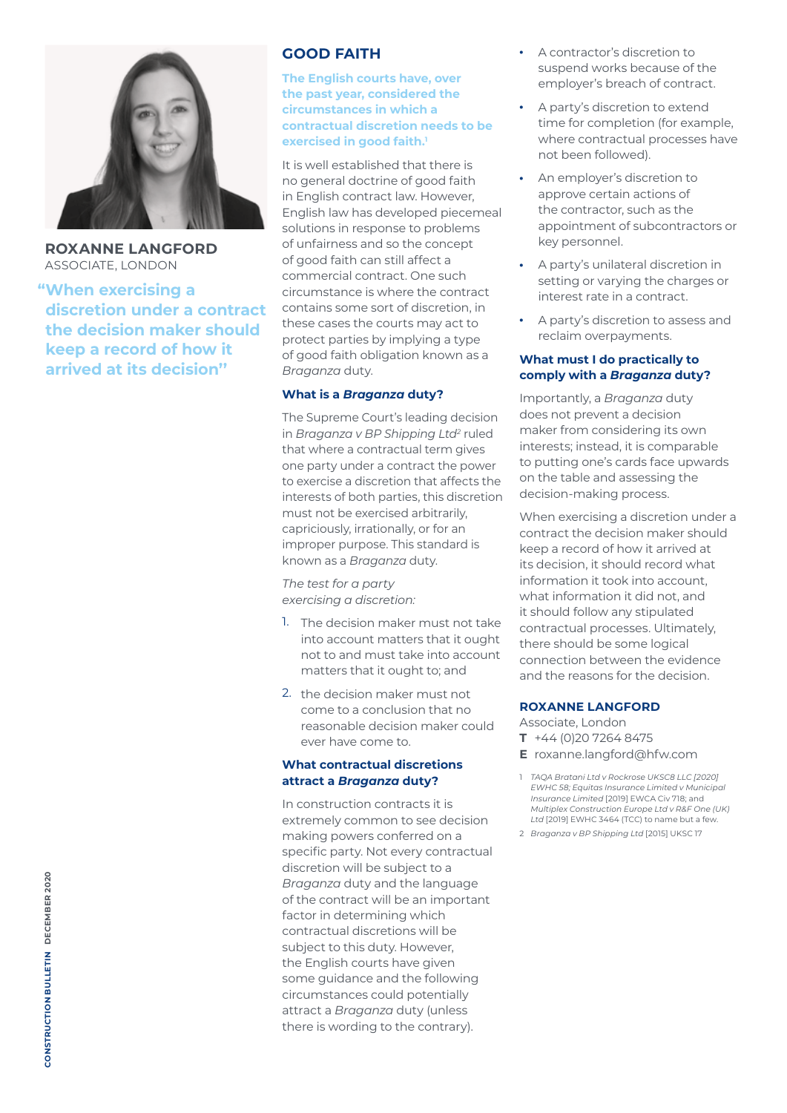

**ROXANNE LANGFORD** ASSOCIATE, LONDON

**"When exercising a discretion under a contract the decision maker should keep a record of how it arrived at its decision''**

# **GOOD FAITH**

**The English courts have, over the past year, considered the circumstances in which a contractual discretion needs to be exercised in good faith.1**

It is well established that there is no general doctrine of good faith in English contract law. However, English law has developed piecemeal solutions in response to problems of unfairness and so the concept of good faith can still affect a commercial contract. One such circumstance is where the contract contains some sort of discretion, in these cases the courts may act to protect parties by implying a type of good faith obligation known as a *Braganza* duty.

#### **What is a** *Braganza* **duty?**

The Supreme Court's leading decision in *Braganza v BP Shipping Ltd<sup>2</sup> ruled* that where a contractual term gives one party under a contract the power to exercise a discretion that affects the interests of both parties, this discretion must not be exercised arbitrarily, capriciously, irrationally, or for an improper purpose. This standard is known as a *Braganza* duty.

*The test for a party exercising a discretion:*

- 1. The decision maker must not take into account matters that it ought not to and must take into account matters that it ought to; and
- 2. the decision maker must not come to a conclusion that no reasonable decision maker could ever have come to.

## **What contractual discretions attract a** *Braganza* **duty?**

In construction contracts it is extremely common to see decision making powers conferred on a specific party. Not every contractual discretion will be subject to a *Braganza* duty and the language of the contract will be an important factor in determining which contractual discretions will be subject to this duty. However, the English courts have given some guidance and the following circumstances could potentially attract a *Braganza* duty (unless there is wording to the contrary).

- A contractor's discretion to suspend works because of the employer's breach of contract.
- A party's discretion to extend time for completion (for example, where contractual processes have not been followed).
- An employer's discretion to approve certain actions of the contractor, such as the appointment of subcontractors or key personnel.
- A party's unilateral discretion in setting or varying the charges or interest rate in a contract.
- A party's discretion to assess and reclaim overpayments.

## **What must I do practically to comply with a** *Braganza* **duty?**

Importantly, a *Braganza* duty does not prevent a decision maker from considering its own interests; instead, it is comparable to putting one's cards face upwards on the table and assessing the decision-making process.

When exercising a discretion under a contract the decision maker should keep a record of how it arrived at its decision, it should record what information it took into account, what information it did not, and it should follow any stipulated contractual processes. Ultimately, there should be some logical connection between the evidence and the reasons for the decision.

## **ROXANNE LANGFORD**

Associate, London **T** +44 (0)20 7264 8475 **E** roxanne.langford@hfw.com

1 *TAQA Bratani Ltd v Rockrose UKSC8 LLC [2020] EWHC 58; Equitas Insurance Limited v Municipal Insurance Limited* [2019] EWCA Civ 718; and *Multiplex Construction Europe Ltd v R&F One (UK) Ltd* [2019] EWHC 3464 (TCC) to name but a few.

<sup>2</sup> *Braganza v BP Shipping Ltd* [2015] UKSC 17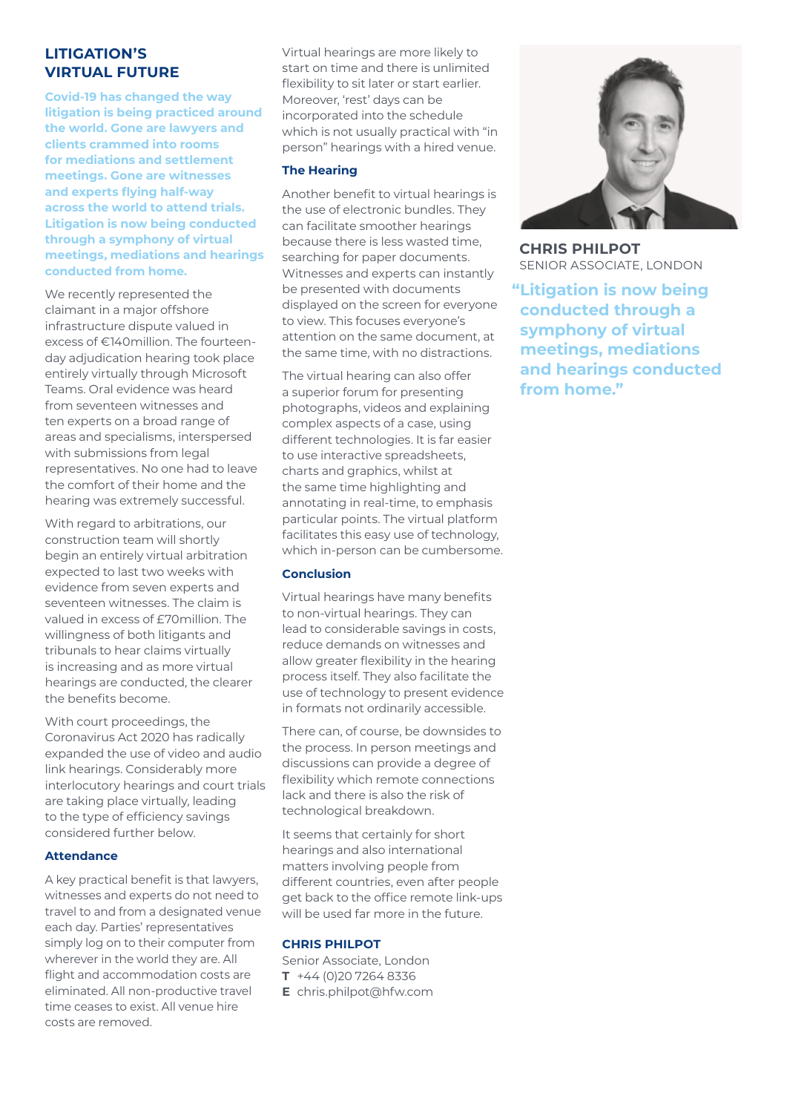## **LITIGATION'S VIRTUAL FUTURE**

**Covid-19 has changed the way litigation is being practiced around the world. Gone are lawyers and clients crammed into rooms for mediations and settlement meetings. Gone are witnesses and experts flying half-way across the world to attend trials. Litigation is now being conducted through a symphony of virtual meetings, mediations and hearings conducted from home.**

We recently represented the claimant in a major offshore infrastructure dispute valued in excess of €140million. The fourteenday adjudication hearing took place entirely virtually through Microsoft Teams. Oral evidence was heard from seventeen witnesses and ten experts on a broad range of areas and specialisms, interspersed with submissions from legal representatives. No one had to leave the comfort of their home and the hearing was extremely successful.

With regard to arbitrations, our construction team will shortly begin an entirely virtual arbitration expected to last two weeks with evidence from seven experts and seventeen witnesses. The claim is valued in excess of £70million. The willingness of both litigants and tribunals to hear claims virtually is increasing and as more virtual hearings are conducted, the clearer the benefits become.

With court proceedings, the Coronavirus Act 2020 has radically expanded the use of video and audio link hearings. Considerably more interlocutory hearings and court trials are taking place virtually, leading to the type of efficiency savings considered further below.

#### **Attendance**

A key practical benefit is that lawyers, witnesses and experts do not need to travel to and from a designated venue each day. Parties' representatives simply log on to their computer from wherever in the world they are. All flight and accommodation costs are eliminated. All non-productive travel time ceases to exist. All venue hire costs are removed.

Virtual hearings are more likely to start on time and there is unlimited flexibility to sit later or start earlier. Moreover, 'rest' days can be incorporated into the schedule which is not usually practical with "in person" hearings with a hired venue.

### **The Hearing**

Another benefit to virtual hearings is the use of electronic bundles. They can facilitate smoother hearings because there is less wasted time, searching for paper documents. Witnesses and experts can instantly be presented with documents displayed on the screen for everyone to view. This focuses everyone's attention on the same document, at the same time, with no distractions.

The virtual hearing can also offer a superior forum for presenting photographs, videos and explaining complex aspects of a case, using different technologies. It is far easier to use interactive spreadsheets, charts and graphics, whilst at the same time highlighting and annotating in real-time, to emphasis particular points. The virtual platform facilitates this easy use of technology, which in-person can be cumbersome.

## **Conclusion**

Virtual hearings have many benefits to non-virtual hearings. They can lead to considerable savings in costs, reduce demands on witnesses and allow greater flexibility in the hearing process itself. They also facilitate the use of technology to present evidence in formats not ordinarily accessible.

There can, of course, be downsides to the process. In person meetings and discussions can provide a degree of flexibility which remote connections lack and there is also the risk of technological breakdown.

It seems that certainly for short hearings and also international matters involving people from different countries, even after people get back to the office remote link-ups will be used far more in the future.

#### **CHRIS PHILPOT**

Senior Associate, London **T** +44 (0)20 7264 8336 **E** chris.philpot@hfw.com



**CHRIS PHILPOT** SENIOR ASSOCIATE, LONDON

**"Litigation is now being conducted through a symphony of virtual meetings, mediations and hearings conducted from home."**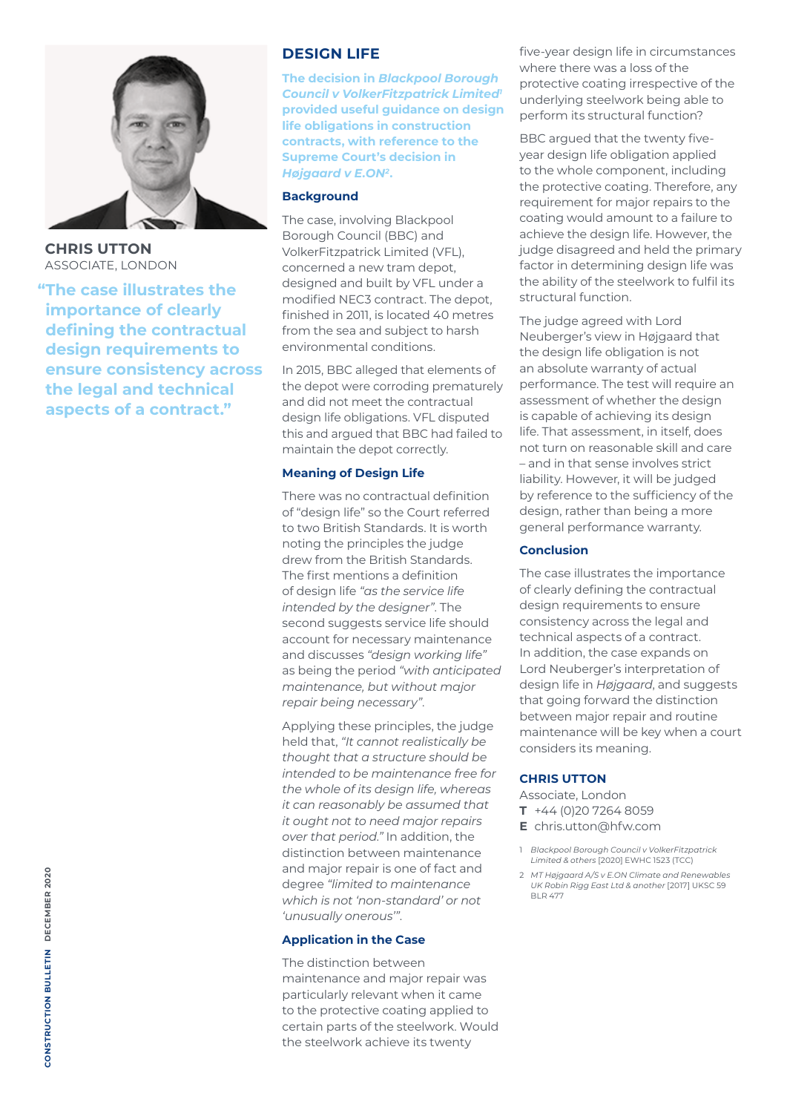

**CHRIS UTTON** ASSOCIATE, LONDON

**"The case illustrates the importance of clearly defining the contractual design requirements to ensure consistency across the legal and technical aspects of a contract."**

## **DESIGN LIFE**

**The decision in** *Blackpool Borough Council v VolkerFitzpatrick Limited1* **provided useful guidance on design life obligations in construction contracts, with reference to the Supreme Court's decision in**  *Højgaard v E.ON2***.**

### **Background**

The case, involving Blackpool Borough Council (BBC) and VolkerFitzpatrick Limited (VFL), concerned a new tram depot, designed and built by VFL under a modified NEC3 contract. The depot, finished in 2011, is located 40 metres from the sea and subject to harsh environmental conditions.

In 2015, BBC alleged that elements of the depot were corroding prematurely and did not meet the contractual design life obligations. VFL disputed this and argued that BBC had failed to maintain the depot correctly.

## **Meaning of Design Life**

There was no contractual definition of "design life" so the Court referred to two British Standards. It is worth noting the principles the judge drew from the British Standards. The first mentions a definition of design life *"as the service life intended by the designer"*. The second suggests service life should account for necessary maintenance and discusses *"design working life"* as being the period *"with anticipated maintenance, but without major repair being necessary"*.

Applying these principles, the judge held that, *"It cannot realistically be thought that a structure should be intended to be maintenance free for the whole of its design life, whereas it can reasonably be assumed that it ought not to need major repairs over that period."* In addition, the distinction between maintenance and major repair is one of fact and degree *"limited to maintenance which is not 'non-standard' or not 'unusually onerous'"*.

#### **Application in the Case**

The distinction between maintenance and major repair was particularly relevant when it came to the protective coating applied to certain parts of the steelwork. Would the steelwork achieve its twenty

five-year design life in circumstances where there was a loss of the protective coating irrespective of the underlying steelwork being able to perform its structural function?

BBC argued that the twenty fiveyear design life obligation applied to the whole component, including the protective coating. Therefore, any requirement for major repairs to the coating would amount to a failure to achieve the design life. However, the judge disagreed and held the primary factor in determining design life was the ability of the steelwork to fulfil its structural function.

The judge agreed with Lord Neuberger's view in Højgaard that the design life obligation is not an absolute warranty of actual performance. The test will require an assessment of whether the design is capable of achieving its design life. That assessment, in itself, does not turn on reasonable skill and care – and in that sense involves strict liability. However, it will be judged by reference to the sufficiency of the design, rather than being a more general performance warranty.

## **Conclusion**

The case illustrates the importance of clearly defining the contractual design requirements to ensure consistency across the legal and technical aspects of a contract. In addition, the case expands on Lord Neuberger's interpretation of design life in *Højgaard*, and suggests that going forward the distinction between major repair and routine maintenance will be key when a court considers its meaning.

## **CHRIS UTTON**

Associate, London

- **T** +44 (0)20 7264 8059
- **E** chris.utton@hfw.com
- 1 *Blackpool Borough Council v VolkerFitzpatrick Limited & others* [2020] EWHC 1523 (TCC)
- 2 *MT Højgaard A/S v E.ON Climate and Renewables UK Robin Rigg East Ltd & another* [2017] UKSC 59  $RID 477$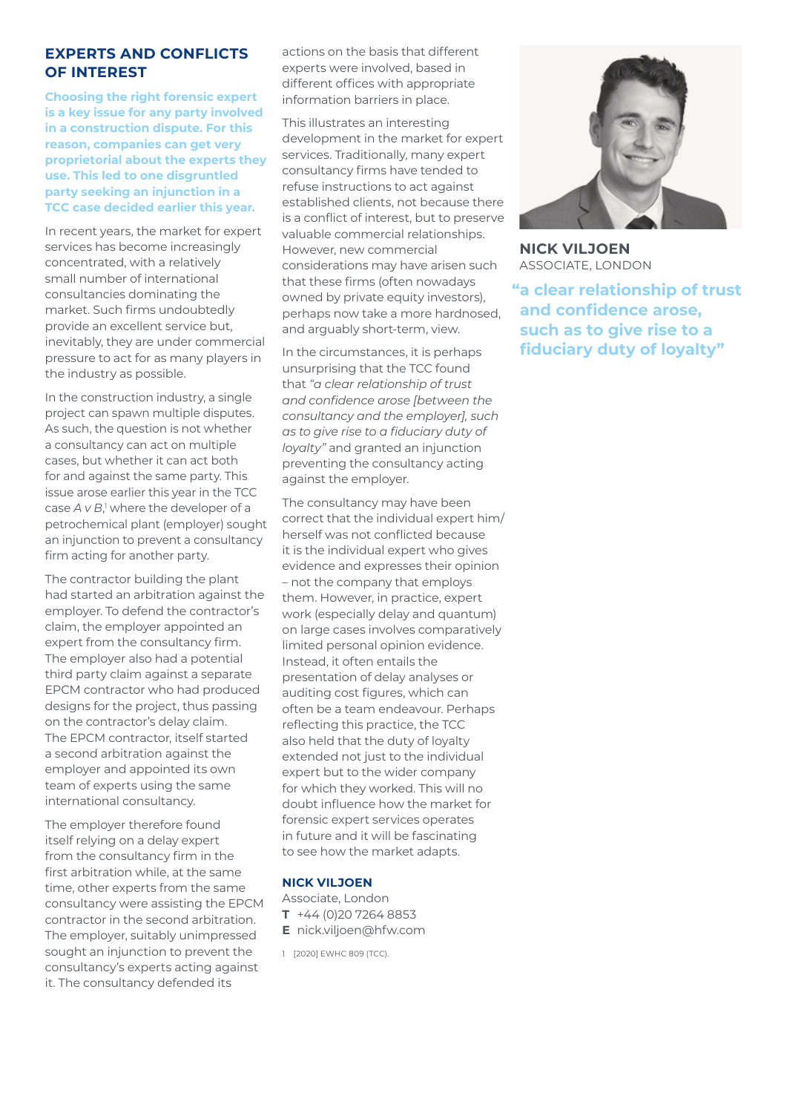## **EXPERTS AND CONFLICTS OF INTEREST**

**Choosing the right forensic expert is a key issue for any party involved in a construction dispute. For this reason, companies can get very proprietorial about the experts they use. This led to one disgruntled party seeking an injunction in a TCC case decided earlier this year.**

In recent years, the market for expert services has become increasingly concentrated, with a relatively small number of international consultancies dominating the market. Such firms undoubtedly provide an excellent service but, inevitably, they are under commercial pressure to act for as many players in the industry as possible.

In the construction industry, a single project can spawn multiple disputes. As such, the question is not whether a consultancy can act on multiple cases, but whether it can act both for and against the same party. This issue arose earlier this year in the TCC case *A* v *B*,<sup>1</sup> where the developer of a petrochemical plant (employer) sought an injunction to prevent a consultancy firm acting for another party.

The contractor building the plant had started an arbitration against the employer. To defend the contractor's claim, the employer appointed an expert from the consultancy firm. The employer also had a potential third party claim against a separate EPCM contractor who had produced designs for the project, thus passing on the contractor's delay claim. The EPCM contractor, itself started a second arbitration against the employer and appointed its own team of experts using the same international consultancy.

The employer therefore found itself relying on a delay expert from the consultancy firm in the first arbitration while, at the same time, other experts from the same consultancy were assisting the EPCM contractor in the second arbitration. The employer, suitably unimpressed sought an injunction to prevent the consultancy's experts acting against it. The consultancy defended its

actions on the basis that different experts were involved, based in different offices with appropriate information barriers in place.

This illustrates an interesting development in the market for expert services. Traditionally, many expert consultancy firms have tended to refuse instructions to act against established clients, not because there is a conflict of interest, but to preserve valuable commercial relationships. However, new commercial considerations may have arisen such that these firms (often nowadays owned by private equity investors), perhaps now take a more hardnosed, and arguably short-term, view.

In the circumstances, it is perhaps unsurprising that the TCC found that *"a clear relationship of trust and confidence arose [between the consultancy and the employer], such as to give rise to a fiduciary duty of loyalty"* and granted an injunction preventing the consultancy acting against the employer.

The consultancy may have been correct that the individual expert him/ herself was not conflicted because it is the individual expert who gives evidence and expresses their opinion – not the company that employs them. However, in practice, expert work (especially delay and quantum) on large cases involves comparatively limited personal opinion evidence. Instead, it often entails the presentation of delay analyses or auditing cost figures, which can often be a team endeavour. Perhaps reflecting this practice, the TCC also held that the duty of loyalty extended not just to the individual expert but to the wider company for which they worked. This will no doubt influence how the market for forensic expert services operates in future and it will be fascinating to see how the market adapts.

#### **NICK VILJOEN**

- Associate, London **T** +44 (0)20 7264 8853 **E** nick.viljoen@hfw.com
- 1 [2020] EWHC 809 (TCC).



**NICK VILJOEN** ASSOCIATE, LONDON

**"a clear relationship of trust and confidence arose, such as to give rise to a fiduciary duty of loyalty"**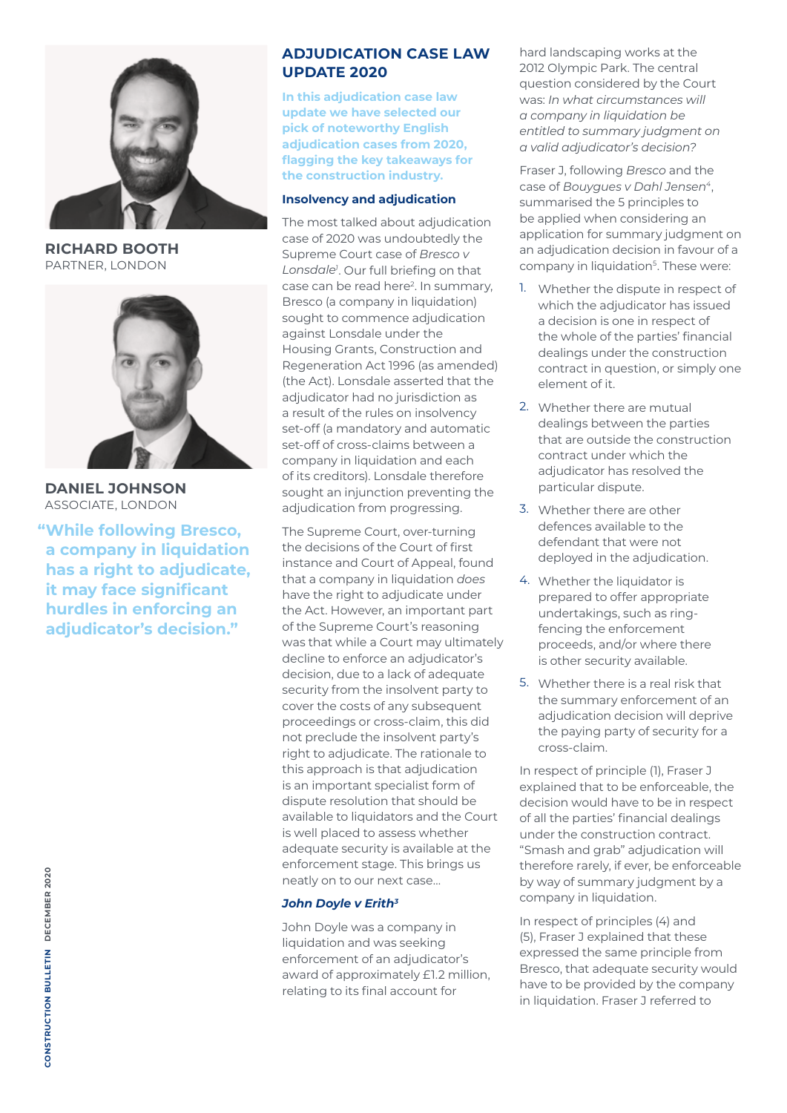

**RICHARD BOOTH** PARTNER, LONDON



**DANIEL JOHNSON** ASSOCIATE, LONDON

**"While following Bresco, a company in liquidation has a right to adjudicate, it may face significant hurdles in enforcing an adjudicator's decision."**

**In this adjudication case law update we have selected our pick of noteworthy English adjudication cases from 2020, flagging the key takeaways for the construction industry.**

### **Insolvency and adjudication**

The most talked about adjudication case of 2020 was undoubtedly the Supreme Court case of *Bresco v*  Lonsdale<sup>1</sup>. Our full briefing on that case can be read here<sup>2</sup>. In summary, Bresco (a company in liquidation) sought to commence adjudication against Lonsdale under the Housing Grants, Construction and Regeneration Act 1996 (as amended) (the Act). Lonsdale asserted that the adjudicator had no jurisdiction as a result of the rules on insolvency set-off (a mandatory and automatic set-off of cross-claims between a company in liquidation and each of its creditors). Lonsdale therefore sought an injunction preventing the adjudication from progressing.

The Supreme Court, over-turning the decisions of the Court of first instance and Court of Appeal, found that a company in liquidation *does* have the right to adjudicate under the Act. However, an important part of the Supreme Court's reasoning was that while a Court may ultimately decline to enforce an adjudicator's decision, due to a lack of adequate security from the insolvent party to cover the costs of any subsequent proceedings or cross-claim, this did not preclude the insolvent party's right to adjudicate. The rationale to this approach is that adjudication is an important specialist form of dispute resolution that should be available to liquidators and the Court is well placed to assess whether adequate security is available at the enforcement stage. This brings us neatly on to our next case…

## *John Doyle v Erith3*

John Doyle was a company in liquidation and was seeking enforcement of an adjudicator's award of approximately £1.2 million, relating to its final account for

hard landscaping works at the 2012 Olympic Park. The central question considered by the Court was: *In what circumstances will a company in liquidation be entitled to summary judgment on a valid adjudicator's decision?*

Fraser J, following *Bresco* and the case of *Bouygues v Dahl Jensen4*, summarised the 5 principles to be applied when considering an application for summary judgment on an adjudication decision in favour of a company in liquidation<sup>5</sup>. These were:

- 1. Whether the dispute in respect of which the adjudicator has issued a decision is one in respect of the whole of the parties' financial dealings under the construction contract in question, or simply one element of it.
- 2. Whether there are mutual dealings between the parties that are outside the construction contract under which the adjudicator has resolved the particular dispute.
- 3. Whether there are other defences available to the defendant that were not deployed in the adjudication.
- 4. Whether the liquidator is prepared to offer appropriate undertakings, such as ringfencing the enforcement proceeds, and/or where there is other security available.
- 5. Whether there is a real risk that the summary enforcement of an adjudication decision will deprive the paying party of security for a cross-claim.

In respect of principle (1), Fraser J explained that to be enforceable, the decision would have to be in respect of all the parties' financial dealings under the construction contract. "Smash and grab" adjudication will therefore rarely, if ever, be enforceable by way of summary judgment by a company in liquidation.

In respect of principles (4) and (5), Fraser J explained that these expressed the same principle from Bresco, that adequate security would have to be provided by the company in liquidation. Fraser J referred to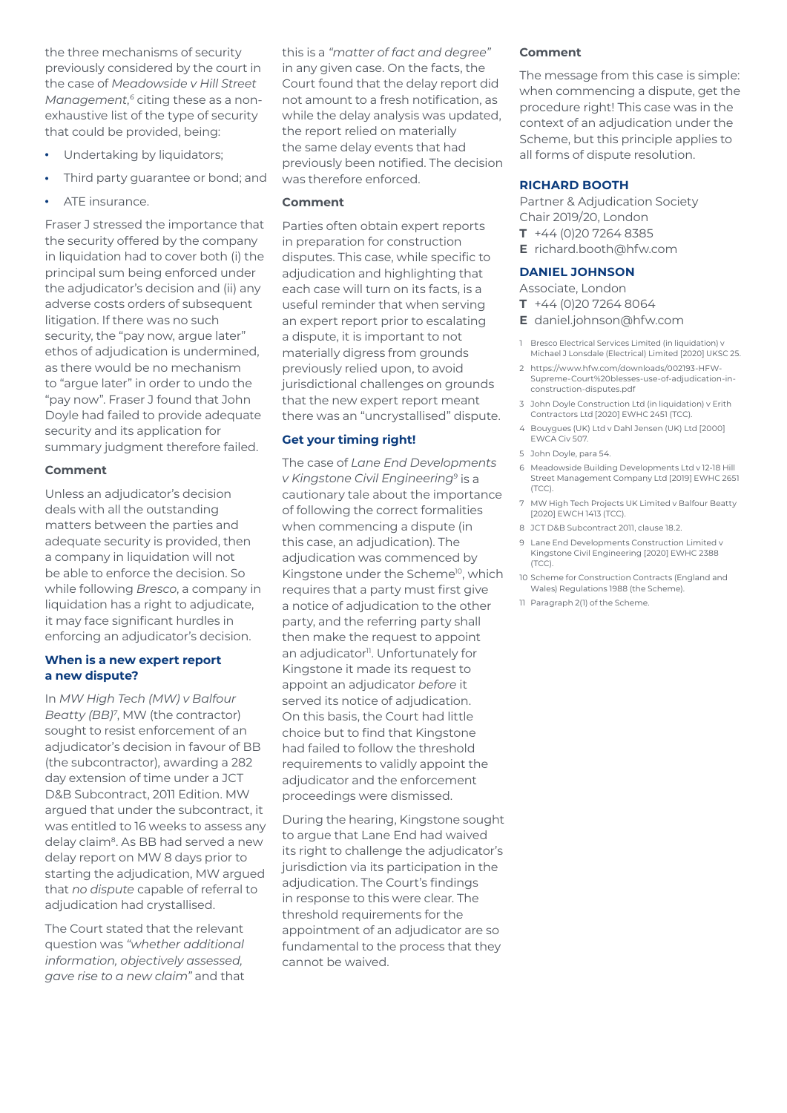the three mechanisms of security previously considered by the court in the case of *Meadowside v Hill Street Management*, *6* citing these as a nonexhaustive list of the type of security that could be provided, being:

- Undertaking by liquidators;
- Third party guarantee or bond; and
- ATE insurance.

Fraser J stressed the importance that the security offered by the company in liquidation had to cover both (i) the principal sum being enforced under the adjudicator's decision and (ii) any adverse costs orders of subsequent litigation. If there was no such security, the "pay now, argue later" ethos of adjudication is undermined, as there would be no mechanism to "argue later" in order to undo the "pay now". Fraser J found that John Doyle had failed to provide adequate security and its application for summary judgment therefore failed.

## **Comment**

Unless an adjudicator's decision deals with all the outstanding matters between the parties and adequate security is provided, then a company in liquidation will not be able to enforce the decision. So while following *Bresco*, a company in liquidation has a right to adjudicate, it may face significant hurdles in enforcing an adjudicator's decision.

## **When is a new expert report a new dispute?**

In *MW High Tech (MW) v Balfour Beatty (BB)7* , MW (the contractor) sought to resist enforcement of an adjudicator's decision in favour of BB (the subcontractor), awarding a 282 day extension of time under a JCT D&B Subcontract, 2011 Edition. MW argued that under the subcontract, it was entitled to 16 weeks to assess any delay claim<sup>8</sup>. As BB had served a new delay report on MW 8 days prior to starting the adjudication, MW argued that *no dispute* capable of referral to adjudication had crystallised.

The Court stated that the relevant question was *"whether additional information, objectively assessed, gave rise to a new claim"* and that this is a *"matter of fact and degree"* in any given case. On the facts, the Court found that the delay report did not amount to a fresh notification, as while the delay analysis was updated, the report relied on materially the same delay events that had previously been notified. The decision was therefore enforced.

## **Comment**

Parties often obtain expert reports in preparation for construction disputes. This case, while specific to adjudication and highlighting that each case will turn on its facts, is a useful reminder that when serving an expert report prior to escalating a dispute, it is important to not materially digress from grounds previously relied upon, to avoid jurisdictional challenges on grounds that the new expert report meant there was an "uncrystallised" dispute.

## **Get your timing right!**

The case of *Lane End Developments v Kingstone Civil Engineering9* is a cautionary tale about the importance of following the correct formalities when commencing a dispute (in this case, an adjudication). The adjudication was commenced by Kingstone under the Scheme<sup>10</sup>, which requires that a party must first give a notice of adjudication to the other party, and the referring party shall then make the request to appoint an adjudicator<sup>11</sup>. Unfortunately for Kingstone it made its request to appoint an adjudicator *before* it served its notice of adjudication. On this basis, the Court had little choice but to find that Kingstone had failed to follow the threshold requirements to validly appoint the adjudicator and the enforcement proceedings were dismissed.

During the hearing, Kingstone sought to argue that Lane End had waived its right to challenge the adjudicator's jurisdiction via its participation in the adjudication. The Court's findings in response to this were clear. The threshold requirements for the appointment of an adjudicator are so fundamental to the process that they cannot be waived.

#### **Comment**

The message from this case is simple: when commencing a dispute, get the procedure right! This case was in the context of an adjudication under the Scheme, but this principle applies to all forms of dispute resolution.

#### **RICHARD BOOTH**

Partner & Adjudication Society Chair 2019/20, London **T** +44 (0)20 7264 8385

**E** richard.booth@hfw.com

## **DANIEL JOHNSON**

#### Associate, London

- **T** +44 (0)20 7264 8064
- **E** daniel.johnson@hfw.com
- 1 Bresco Electrical Services Limited (in liquidation) v Michael J Lonsdale (Electrical) Limited [2020] UKSC 25.
- 2 https://www.hfw.com/downloads/002193-HFW-Supreme-Court%20blesses-use-of-adjudication-inconstruction-disputes.pdf
- 3 John Doyle Construction Ltd (in liquidation) v Erith Contractors Ltd [2020] EWHC 2451 (TCC).
- 4 Bouygues (UK) Ltd v Dahl Jensen (UK) Ltd [2000] EWCA Civ 507.
- 5 John Doyle, para 54.
- 6 Meadowside Building Developments Ltd v 12-18 Hill Street Management Company Ltd [2019] EWHC 2651 (TCC).
- 7 MW High Tech Projects UK Limited v Balfour Beatty [2020] EWCH 1413 (TCC).
- 8 JCT D&B Subcontract 2011, clause 18.2.
- 9 Lane End Developments Construction Limited v Kingstone Civil Engineering [2020] EWHC 2388 (TCC).
- 10 Scheme for Construction Contracts (England and Wales) Regulations 1988 (the Scheme).
- 11 Paragraph 2(1) of the Scheme.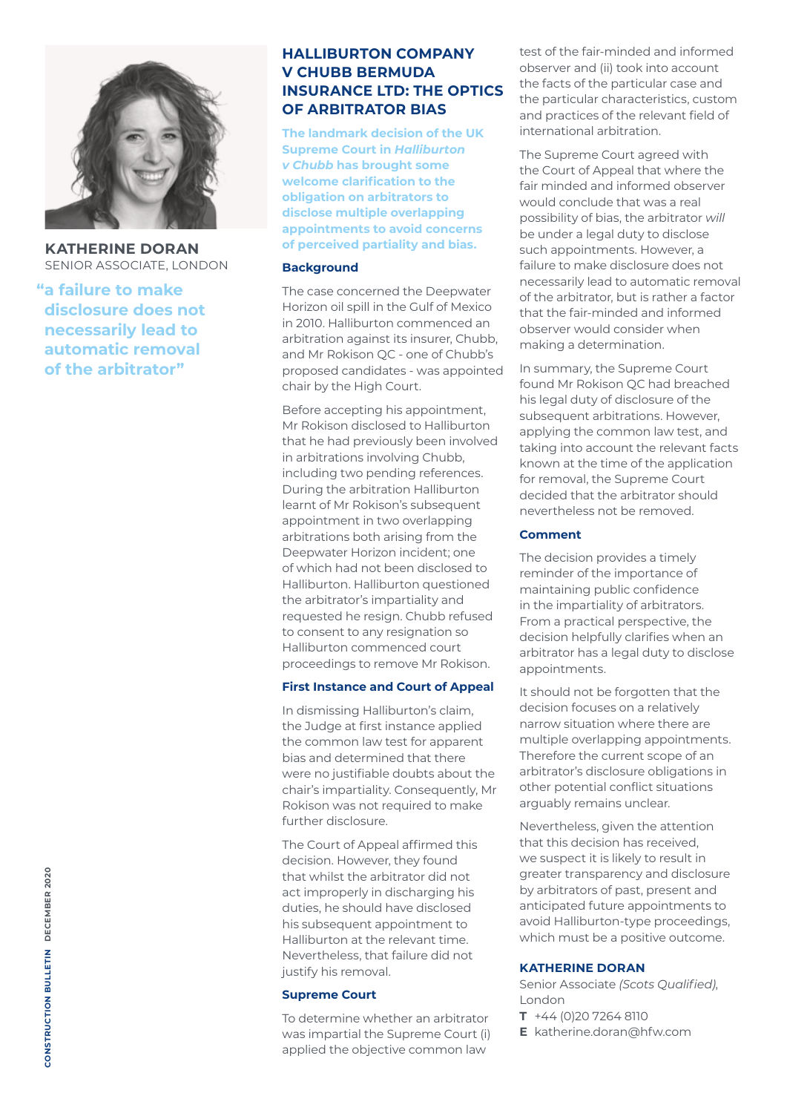

**KATHERINE DORAN** SENIOR ASSOCIATE, LONDON

**"a failure to make disclosure does not necessarily lead to automatic removal of the arbitrator"**

## **HALLIBURTON COMPANY V CHUBB BERMUDA INSURANCE LTD: THE OPTICS OF ARBITRATOR BIAS**

**The landmark decision of the UK Supreme Court in** *Halliburton v Chubb* **has brought some welcome clarification to the obligation on arbitrators to disclose multiple overlapping appointments to avoid concerns of perceived partiality and bias.**

#### **Background**

The case concerned the Deepwater Horizon oil spill in the Gulf of Mexico in 2010. Halliburton commenced an arbitration against its insurer, Chubb, and Mr Rokison QC - one of Chubb's proposed candidates - was appointed chair by the High Court.

Before accepting his appointment, Mr Rokison disclosed to Halliburton that he had previously been involved in arbitrations involving Chubb, including two pending references. During the arbitration Halliburton learnt of Mr Rokison's subsequent appointment in two overlapping arbitrations both arising from the Deepwater Horizon incident; one of which had not been disclosed to Halliburton. Halliburton questioned the arbitrator's impartiality and requested he resign. Chubb refused to consent to any resignation so Halliburton commenced court proceedings to remove Mr Rokison.

#### **First Instance and Court of Appeal**

In dismissing Halliburton's claim, the Judge at first instance applied the common law test for apparent bias and determined that there were no justifiable doubts about the chair's impartiality. Consequently, Mr Rokison was not required to make further disclosure.

The Court of Appeal affirmed this decision. However, they found that whilst the arbitrator did not act improperly in discharging his duties, he should have disclosed his subsequent appointment to Halliburton at the relevant time. Nevertheless, that failure did not justify his removal.

## **Supreme Court**

To determine whether an arbitrator was impartial the Supreme Court (i) applied the objective common law

test of the fair-minded and informed observer and (ii) took into account the facts of the particular case and the particular characteristics, custom and practices of the relevant field of international arbitration.

The Supreme Court agreed with the Court of Appeal that where the fair minded and informed observer would conclude that was a real possibility of bias, the arbitrator *will*  be under a legal duty to disclose such appointments. However, a failure to make disclosure does not necessarily lead to automatic removal of the arbitrator, but is rather a factor that the fair-minded and informed observer would consider when making a determination.

In summary, the Supreme Court found Mr Rokison QC had breached his legal duty of disclosure of the subsequent arbitrations. However, applying the common law test, and taking into account the relevant facts known at the time of the application for removal, the Supreme Court decided that the arbitrator should nevertheless not be removed.

## **Comment**

The decision provides a timely reminder of the importance of maintaining public confidence in the impartiality of arbitrators. From a practical perspective, the decision helpfully clarifies when an arbitrator has a legal duty to disclose appointments.

It should not be forgotten that the decision focuses on a relatively narrow situation where there are multiple overlapping appointments. Therefore the current scope of an arbitrator's disclosure obligations in other potential conflict situations arguably remains unclear.

Nevertheless, given the attention that this decision has received, we suspect it is likely to result in greater transparency and disclosure by arbitrators of past, present and anticipated future appointments to avoid Halliburton-type proceedings, which must be a positive outcome.

## **KATHERINE DORAN**

Senior Associate *(Scots Qualified)*, London

- **T** +44 (0)20 7264 8110
- **E** katherine.doran@hfw.com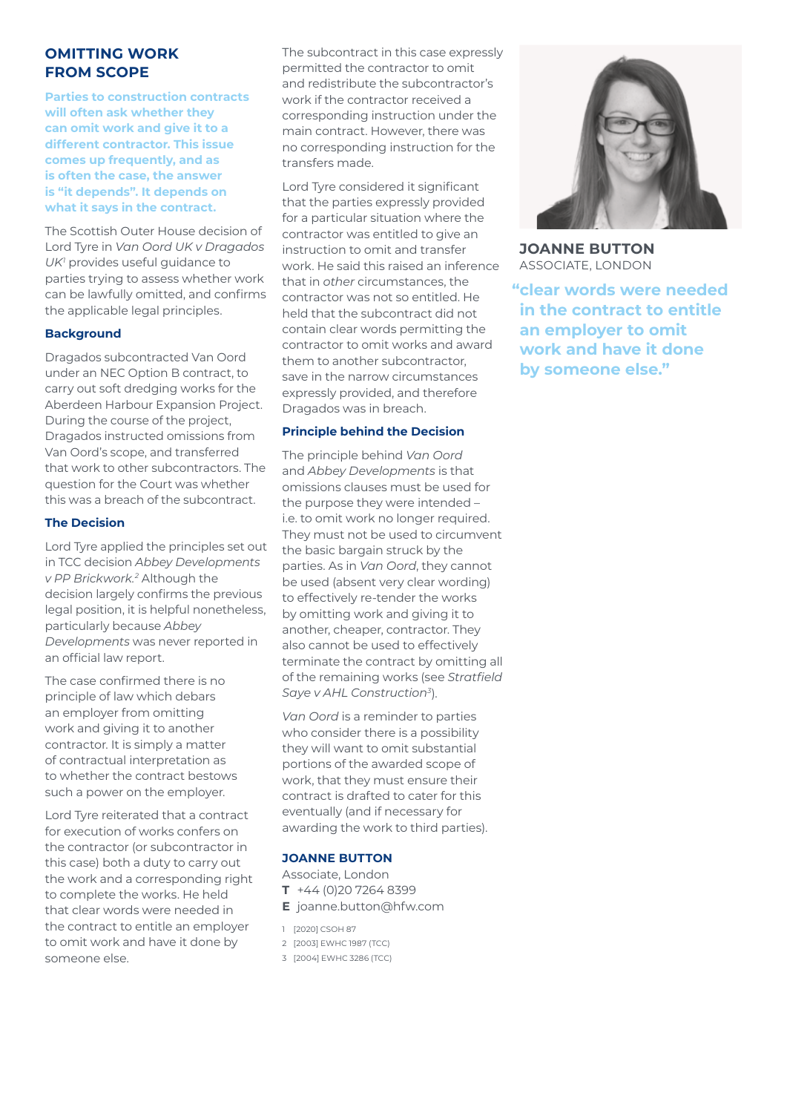## **OMITTING WORK FROM SCOPE**

**Parties to construction contracts will often ask whether they can omit work and give it to a different contractor. This issue comes up frequently, and as is often the case, the answer is "it depends". It depends on what it says in the contract.** 

The Scottish Outer House decision of Lord Tyre in *Van Oord UK v Dragados UK1* provides useful guidance to parties trying to assess whether work can be lawfully omitted, and confirms the applicable legal principles.

#### **Background**

Dragados subcontracted Van Oord under an NEC Option B contract, to carry out soft dredging works for the Aberdeen Harbour Expansion Project. During the course of the project, Dragados instructed omissions from Van Oord's scope, and transferred that work to other subcontractors. The question for the Court was whether this was a breach of the subcontract.

#### **The Decision**

Lord Tyre applied the principles set out in TCC decision *Abbey Developments v PP Brickwork.2* Although the decision largely confirms the previous legal position, it is helpful nonetheless, particularly because *Abbey Developments* was never reported in an official law report.

The case confirmed there is no principle of law which debars an employer from omitting work and giving it to another contractor. It is simply a matter of contractual interpretation as to whether the contract bestows such a power on the employer.

Lord Tyre reiterated that a contract for execution of works confers on the contractor (or subcontractor in this case) both a duty to carry out the work and a corresponding right to complete the works. He held that clear words were needed in the contract to entitle an employer to omit work and have it done by someone else.

The subcontract in this case expressly permitted the contractor to omit and redistribute the subcontractor's work if the contractor received a corresponding instruction under the main contract. However, there was no corresponding instruction for the transfers made.

Lord Tyre considered it significant that the parties expressly provided for a particular situation where the contractor was entitled to give an instruction to omit and transfer work. He said this raised an inference that in *other* circumstances, the contractor was not so entitled. He held that the subcontract did not contain clear words permitting the contractor to omit works and award them to another subcontractor, save in the narrow circumstances expressly provided, and therefore Dragados was in breach.

#### **Principle behind the Decision**

The principle behind *Van Oord* and *Abbey Developments* is that omissions clauses must be used for the purpose they were intended – i.e. to omit work no longer required. They must not be used to circumvent the basic bargain struck by the parties. As in *Van Oord*, they cannot be used (absent very clear wording) to effectively re-tender the works by omitting work and giving it to another, cheaper, contractor. They also cannot be used to effectively terminate the contract by omitting all of the remaining works (see *Stratfield Saye v AHL Construction3*).

*Van Oord* is a reminder to parties who consider there is a possibility they will want to omit substantial portions of the awarded scope of work, that they must ensure their contract is drafted to cater for this eventually (and if necessary for awarding the work to third parties).

#### **JOANNE BUTTON**

- Associate, London
- **T** +44 (0)20 7264 8399
- **E** joanne.button@hfw.com
- 1 [2020] CSOH 87
- 2 [2003] EWHC 1987 (TCC)
- 3 [2004] EWHC 3286 (TCC)



**JOANNE BUTTON** ASSOCIATE, LONDON

**"clear words were needed in the contract to entitle an employer to omit work and have it done by someone else."**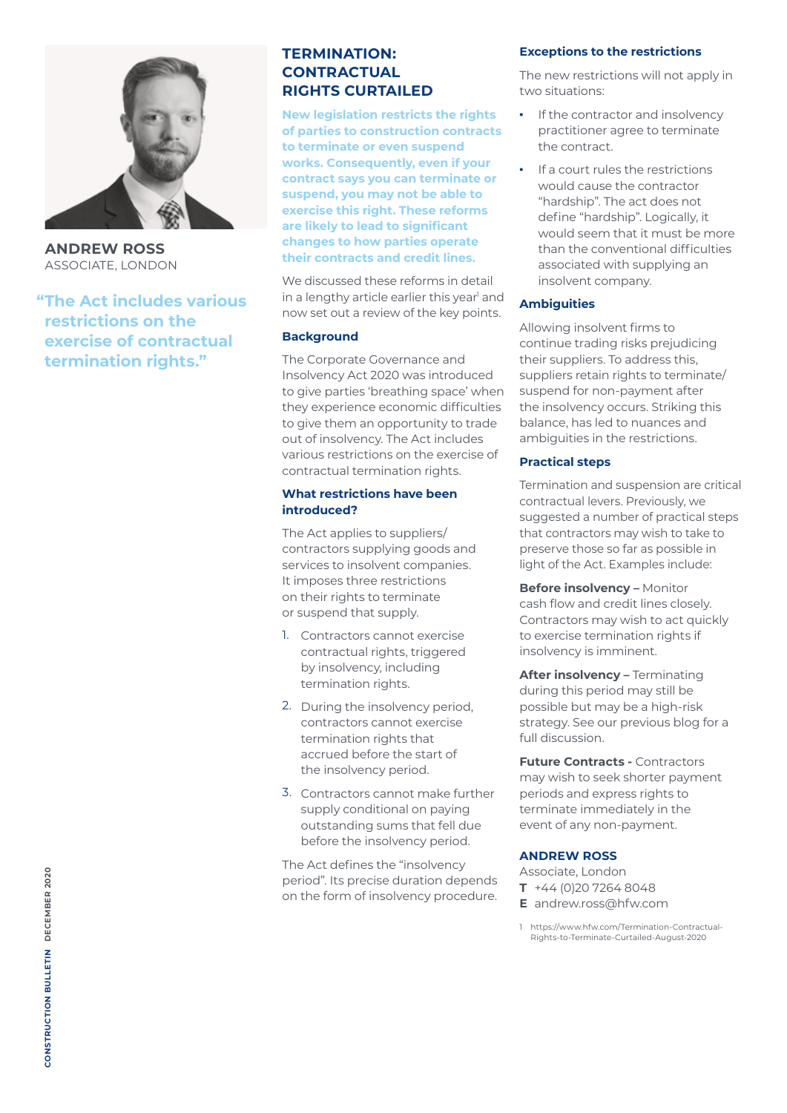

**ANDREW ROSS** ASSOCIATE, LONDON

**"The Act includes various restrictions on the exercise of contractual termination rights."**

## **TERMINATION: CONTRACTUAL RIGHTS CURTAILED**

**New legislation restricts the rights of parties to construction contracts to terminate or even suspend works. Consequently, even if your contract says you can terminate or suspend, you may not be able to exercise this right. These reforms are likely to lead to significant changes to how parties operate their contracts and credit lines.**

We discussed these reforms in detail in a lengthy article earlier this year<sup>1</sup> and now set out a review of the key points.

## **Background**

The Corporate Governance and Insolvency Act 2020 was introduced to give parties 'breathing space' when they experience economic difficulties to give them an opportunity to trade out of insolvency. The Act includes various restrictions on the exercise of contractual termination rights.

#### **What restrictions have been introduced?**

The Act applies to suppliers/ contractors supplying goods and services to insolvent companies. It imposes three restrictions on their rights to terminate or suspend that supply.

- 1. Contractors cannot exercise contractual rights, triggered by insolvency, including termination rights.
- 2. During the insolvency period, contractors cannot exercise termination rights that accrued before the start of the insolvency period.
- 3. Contractors cannot make further supply conditional on paying outstanding sums that fell due before the insolvency period.

The Act defines the "insolvency period". Its precise duration depends on the form of insolvency procedure.

## **Exceptions to the restrictions**

The new restrictions will not apply in two situations:

- If the contractor and insolvency practitioner agree to terminate the contract.
- If a court rules the restrictions would cause the contractor "hardship". The act does not define "hardship". Logically, it would seem that it must be more than the conventional difficulties associated with supplying an insolvent company.

## **Ambiguities**

Allowing insolvent firms to continue trading risks prejudicing their suppliers. To address this, suppliers retain rights to terminate/ suspend for non-payment after the insolvency occurs. Striking this balance, has led to nuances and ambiguities in the restrictions.

## **Practical steps**

Termination and suspension are critical contractual levers. Previously, we suggested a number of practical steps that contractors may wish to take to preserve those so far as possible in light of the Act. Examples include:

**Before insolvency –** Monitor cash flow and credit lines closely. Contractors may wish to act quickly to exercise termination rights if insolvency is imminent.

**After insolvency –** Terminating during this period may still be possible but may be a high-risk strategy. See our previous blog for a full discussion.

**Future Contracts - Contractors** may wish to seek shorter payment periods and express rights to terminate immediately in the event of any non-payment.

## **ANDREW ROSS**

Associate, London

- **T** +44 (0)20 7264 8048
- **E** andrew.ross@hfw.com
- 1 https://www.hfw.com/Termination-Contractual-Rights-to-Terminate-Curtailed-August-2020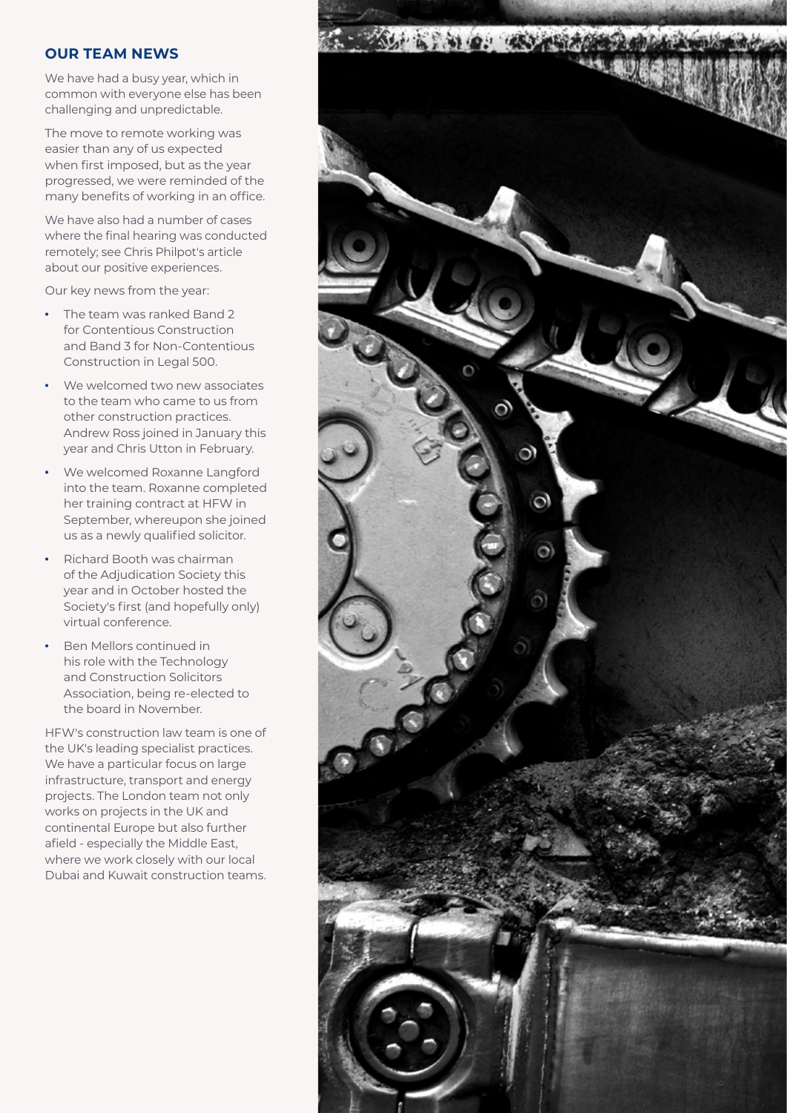## **OUR TEAM NEWS**

We have had a busy year, which in common with everyone else has been challenging and unpredictable.

The move to remote working was easier than any of us expected when first imposed, but as the year progressed, we were reminded of the many benefits of working in an office.

We have also had a number of cases where the final hearing was conducted remotely; see Chris Philpot's article about our positive experiences.

Our key news from the year:

- The team was ranked Band 2 for Contentious Construction and Band 3 for Non-Contentious Construction in Legal 500.
- We welcomed two new associates to the team who came to us from other construction practices. Andrew Ross joined in January this year and Chris Utton in February.
- We welcomed Roxanne Langford into the team. Roxanne completed her training contract at HFW in September, whereupon she joined us as a newly qualified solicitor.
- Richard Booth was chairman of the Adjudication Society this year and in October hosted the Society's first (and hopefully only) virtual conference.
- Ben Mellors continued in his role with the Technology and Construction Solicitors Association, being re-elected to the board in November.

HFW's construction law team is one of the UK's leading specialist practices. We have a particular focus on large infrastructure, transport and energy projects. The London team not only works on projects in the UK and continental Europe but also further afield - especially the Middle East, where we work closely with our local Dubai and Kuwait construction teams.